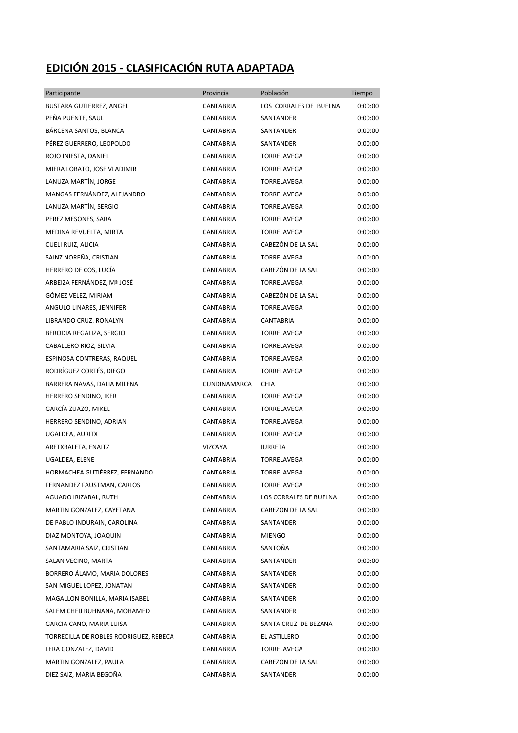## **EDICIÓN 2015 - CLASIFICACIÓN RUTA ADAPTADA**

| Participante                           | Provincia        | Población              | Tiempo  |
|----------------------------------------|------------------|------------------------|---------|
| BUSTARA GUTIERREZ, ANGEL               | CANTABRIA        | LOS CORRALES DE BUELNA | 0:00:00 |
| PEÑA PUENTE, SAUL                      | CANTABRIA        | SANTANDER              | 0:00:00 |
| BÁRCENA SANTOS, BLANCA                 | <b>CANTABRIA</b> | SANTANDER              | 0:00:00 |
| PÉREZ GUERRERO, LEOPOLDO               | CANTABRIA        | SANTANDER              | 0:00:00 |
| ROJO INIESTA, DANIEL                   | CANTABRIA        | TORRELAVEGA            | 0:00:00 |
| MIERA LOBATO, JOSE VLADIMIR            | CANTABRIA        | TORRELAVEGA            | 0:00:00 |
| LANUZA MARTÍN, JORGE                   | CANTABRIA        | TORRELAVEGA            | 0:00:00 |
| MANGAS FERNÁNDEZ, ALEJANDRO            | CANTABRIA        | <b>TORRELAVEGA</b>     | 0:00:00 |
| LANUZA MARTÍN, SERGIO                  | CANTABRIA        | <b>TORRELAVEGA</b>     | 0:00:00 |
| PÉREZ MESONES, SARA                    | CANTABRIA        | TORRELAVEGA            | 0:00:00 |
| MEDINA REVUELTA, MIRTA                 | CANTABRIA        | TORRELAVEGA            | 0:00:00 |
| CUELI RUIZ, ALICIA                     | <b>CANTABRIA</b> | CABEZÓN DE LA SAL      | 0:00:00 |
| SAINZ NOREÑA, CRISTIAN                 | CANTABRIA        | TORRELAVEGA            | 0:00:00 |
| HERRERO DE COS, LUCÍA                  | CANTABRIA        | CABEZÓN DE LA SAL      | 0:00:00 |
| ARBEIZA FERNÁNDEZ, Mª JOSÉ             | CANTABRIA        | <b>TORRELAVEGA</b>     | 0:00:00 |
| GÓMEZ VELEZ, MIRIAM                    | CANTABRIA        | CABEZÓN DE LA SAL      | 0:00:00 |
| ANGULO LINARES, JENNIFER               | CANTABRIA        | TORRELAVEGA            | 0:00:00 |
| LIBRANDO CRUZ, RONALYN                 | CANTABRIA        | <b>CANTABRIA</b>       | 0:00:00 |
| BERODIA REGALIZA, SERGIO               | CANTABRIA        | TORRELAVEGA            | 0:00:00 |
| CABALLERO RIOZ, SILVIA                 | CANTABRIA        | TORRELAVEGA            | 0:00:00 |
| ESPINOSA CONTRERAS, RAQUEL             | CANTABRIA        | TORRELAVEGA            | 0:00:00 |
| RODRÍGUEZ CORTÉS, DIEGO                | CANTABRIA        | TORRELAVEGA            | 0:00:00 |
| BARRERA NAVAS, DALIA MILENA            | CUNDINAMARCA     | <b>CHIA</b>            | 0:00:00 |
| HERRERO SENDINO, IKER                  | CANTABRIA        | TORRELAVEGA            | 0:00:00 |
| GARCÍA ZUAZO, MIKEL                    | CANTABRIA        | TORRELAVEGA            | 0:00:00 |
| HERRERO SENDINO, ADRIAN                | CANTABRIA        | <b>TORRELAVEGA</b>     | 0:00:00 |
| UGALDEA, AURITX                        | <b>CANTABRIA</b> | <b>TORRELAVEGA</b>     | 0:00:00 |
| ARETXBALETA, ENAITZ                    | VIZCAYA          | <b>IURRETA</b>         | 0:00:00 |
| UGALDEA, ELENE                         | CANTABRIA        | TORRELAVEGA            | 0:00:00 |
| HORMACHEA GUTIÉRREZ, FERNANDO          | <b>CANTABRIA</b> | TORRELAVEGA            | 0:00:00 |
| FERNANDEZ FAUSTMAN, CARLOS             | <b>CANTABRIA</b> | TORRELAVEGA            | 0:00:00 |
| AGUADO IRIZÁBAL, RUTH                  | <b>CANTABRIA</b> | LOS CORRALES DE BUELNA | 0:00:00 |
| MARTIN GONZALEZ, CAYETANA              | CANTABRIA        | CABEZON DE LA SAL      | 0:00:00 |
| DE PABLO INDURAIN, CAROLINA            | CANTABRIA        | SANTANDER              | 0:00:00 |
| DIAZ MONTOYA, JOAQUIN                  | CANTABRIA        | MIENGO                 | 0:00:00 |
| SANTAMARIA SAIZ, CRISTIAN              | CANTABRIA        | SANTOÑA                | 0:00:00 |
| SALAN VECINO, MARTA                    | CANTABRIA        | SANTANDER              | 0:00:00 |
| BORRERO ÁLAMO, MARIA DOLORES           | CANTABRIA        | SANTANDER              | 0:00:00 |
| SAN MIGUEL LOPEZ, JONATAN              | CANTABRIA        | SANTANDER              | 0:00:00 |
| MAGALLON BONILLA, MARIA ISABEL         | CANTABRIA        | SANTANDER              | 0:00:00 |
| SALEM CHEIJ BUHNANA, MOHAMED           | CANTABRIA        | SANTANDER              | 0:00:00 |
| GARCIA CANO, MARIA LUISA               | CANTABRIA        | SANTA CRUZ DE BEZANA   | 0:00:00 |
| TORRECILLA DE ROBLES RODRIGUEZ, REBECA | <b>CANTABRIA</b> | EL ASTILLERO           | 0:00:00 |
| LERA GONZALEZ, DAVID                   | CANTABRIA        | TORRELAVEGA            | 0:00:00 |
| MARTIN GONZALEZ, PAULA                 | CANTABRIA        | CABEZON DE LA SAL      | 0:00:00 |
| DIEZ SAIZ, MARIA BEGOÑA                | CANTABRIA        | SANTANDER              | 0:00:00 |